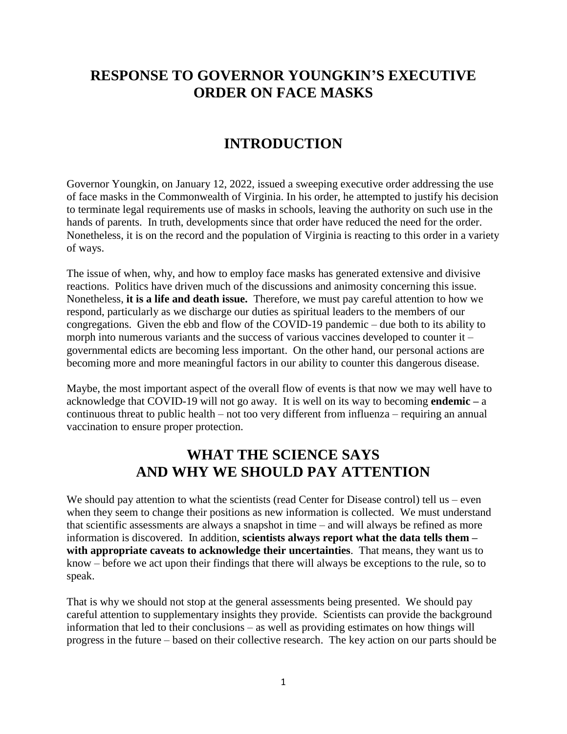## **RESPONSE TO GOVERNOR YOUNGKIN'S EXECUTIVE ORDER ON FACE MASKS**

#### **INTRODUCTION**

Governor Youngkin, on January 12, 2022, issued a sweeping executive order addressing the use of face masks in the Commonwealth of Virginia. In his order, he attempted to justify his decision to terminate legal requirements use of masks in schools, leaving the authority on such use in the hands of parents. In truth, developments since that order have reduced the need for the order. Nonetheless, it is on the record and the population of Virginia is reacting to this order in a variety of ways.

The issue of when, why, and how to employ face masks has generated extensive and divisive reactions. Politics have driven much of the discussions and animosity concerning this issue. Nonetheless, **it is a life and death issue.** Therefore, we must pay careful attention to how we respond, particularly as we discharge our duties as spiritual leaders to the members of our congregations. Given the ebb and flow of the COVID-19 pandemic – due both to its ability to morph into numerous variants and the success of various vaccines developed to counter it – governmental edicts are becoming less important. On the other hand, our personal actions are becoming more and more meaningful factors in our ability to counter this dangerous disease.

Maybe, the most important aspect of the overall flow of events is that now we may well have to acknowledge that COVID-19 will not go away. It is well on its way to becoming **endemic –** a continuous threat to public health – not too very different from influenza – requiring an annual vaccination to ensure proper protection.

### **WHAT THE SCIENCE SAYS AND WHY WE SHOULD PAY ATTENTION**

We should pay attention to what the scientists (read Center for Disease control) tell us – even when they seem to change their positions as new information is collected. We must understand that scientific assessments are always a snapshot in time – and will always be refined as more information is discovered. In addition, **scientists always report what the data tells them – with appropriate caveats to acknowledge their uncertainties**. That means, they want us to know – before we act upon their findings that there will always be exceptions to the rule, so to speak.

That is why we should not stop at the general assessments being presented. We should pay careful attention to supplementary insights they provide. Scientists can provide the background information that led to their conclusions – as well as providing estimates on how things will progress in the future – based on their collective research. The key action on our parts should be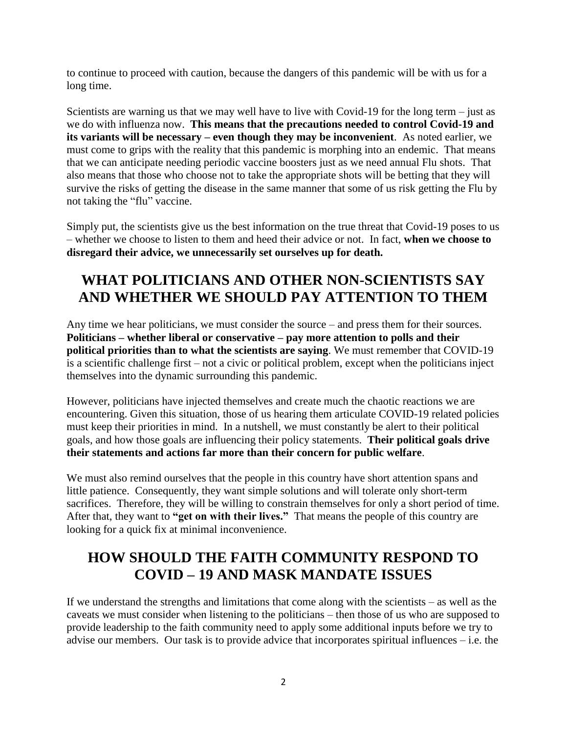to continue to proceed with caution, because the dangers of this pandemic will be with us for a long time.

Scientists are warning us that we may well have to live with Covid-19 for the long term – just as we do with influenza now. **This means that the precautions needed to control Covid-19 and its variants will be necessary – even though they may be inconvenient**. As noted earlier, we must come to grips with the reality that this pandemic is morphing into an endemic. That means that we can anticipate needing periodic vaccine boosters just as we need annual Flu shots. That also means that those who choose not to take the appropriate shots will be betting that they will survive the risks of getting the disease in the same manner that some of us risk getting the Flu by not taking the "flu" vaccine.

Simply put, the scientists give us the best information on the true threat that Covid-19 poses to us – whether we choose to listen to them and heed their advice or not. In fact, **when we choose to disregard their advice, we unnecessarily set ourselves up for death.**

# **WHAT POLITICIANS AND OTHER NON-SCIENTISTS SAY AND WHETHER WE SHOULD PAY ATTENTION TO THEM**

Any time we hear politicians, we must consider the source – and press them for their sources. **Politicians – whether liberal or conservative – pay more attention to polls and their political priorities than to what the scientists are saying**. We must remember that COVID-19 is a scientific challenge first – not a civic or political problem, except when the politicians inject themselves into the dynamic surrounding this pandemic.

However, politicians have injected themselves and create much the chaotic reactions we are encountering. Given this situation, those of us hearing them articulate COVID-19 related policies must keep their priorities in mind. In a nutshell, we must constantly be alert to their political goals, and how those goals are influencing their policy statements. **Their political goals drive their statements and actions far more than their concern for public welfare**.

We must also remind ourselves that the people in this country have short attention spans and little patience. Consequently, they want simple solutions and will tolerate only short-term sacrifices. Therefore, they will be willing to constrain themselves for only a short period of time. After that, they want to **"get on with their lives."** That means the people of this country are looking for a quick fix at minimal inconvenience.

# **HOW SHOULD THE FAITH COMMUNITY RESPOND TO COVID – 19 AND MASK MANDATE ISSUES**

If we understand the strengths and limitations that come along with the scientists – as well as the caveats we must consider when listening to the politicians – then those of us who are supposed to provide leadership to the faith community need to apply some additional inputs before we try to advise our members. Our task is to provide advice that incorporates spiritual influences – i.e. the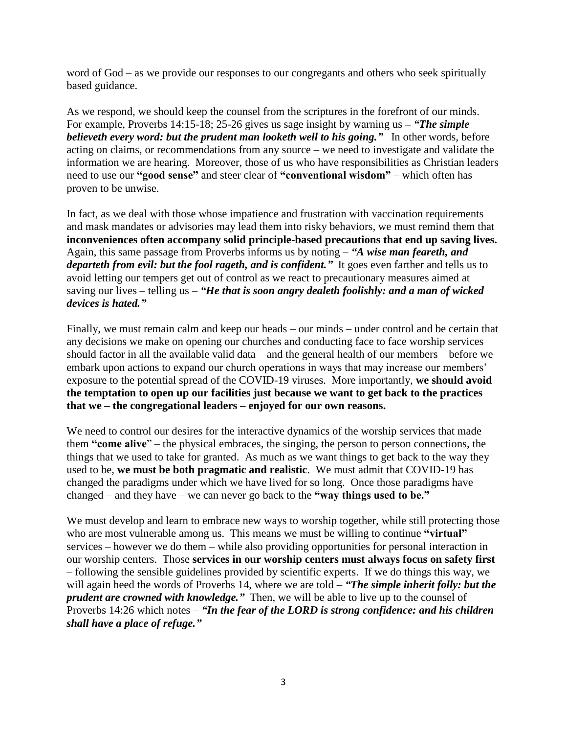word of God – as we provide our responses to our congregants and others who seek spiritually based guidance.

As we respond, we should keep the counsel from the scriptures in the forefront of our minds. For example, Proverbs 14:15-18; 25-26 gives us sage insight by warning us *– "The simple believeth every word: but the prudent man looketh well to his going."* In other words, before acting on claims, or recommendations from any source – we need to investigate and validate the information we are hearing. Moreover, those of us who have responsibilities as Christian leaders need to use our **"good sense"** and steer clear of **"conventional wisdom"** – which often has proven to be unwise.

In fact, as we deal with those whose impatience and frustration with vaccination requirements and mask mandates or advisories may lead them into risky behaviors, we must remind them that **inconveniences often accompany solid principle-based precautions that end up saving lives.** Again, this same passage from Proverbs informs us by noting – *"A wise man feareth, and departeth from evil: but the fool rageth, and is confident.*" It goes even farther and tells us to avoid letting our tempers get out of control as we react to precautionary measures aimed at saving our lives – telling us – *"He that is soon angry dealeth foolishly: and a man of wicked devices is hated."*

Finally, we must remain calm and keep our heads – our minds – under control and be certain that any decisions we make on opening our churches and conducting face to face worship services should factor in all the available valid data – and the general health of our members – before we embark upon actions to expand our church operations in ways that may increase our members' exposure to the potential spread of the COVID-19 viruses. More importantly, **we should avoid the temptation to open up our facilities just because we want to get back to the practices that we – the congregational leaders – enjoyed for our own reasons.**

We need to control our desires for the interactive dynamics of the worship services that made them **"come alive**" – the physical embraces, the singing, the person to person connections, the things that we used to take for granted. As much as we want things to get back to the way they used to be, **we must be both pragmatic and realistic**. We must admit that COVID-19 has changed the paradigms under which we have lived for so long. Once those paradigms have changed – and they have – we can never go back to the **"way things used to be."**

We must develop and learn to embrace new ways to worship together, while still protecting those who are most vulnerable among us. This means we must be willing to continue **"virtual"** services – however we do them – while also providing opportunities for personal interaction in our worship centers. Those **services in our worship centers must always focus on safety first**  – following the sensible guidelines provided by scientific experts. If we do things this way, we will again heed the words of Proverbs 14, where we are told – "The simple inherit folly: but the *prudent are crowned with knowledge."* Then, we will be able to live up to the counsel of Proverbs 14:26 which notes – *"In the fear of the LORD is strong confidence: and his children shall have a place of refuge."*